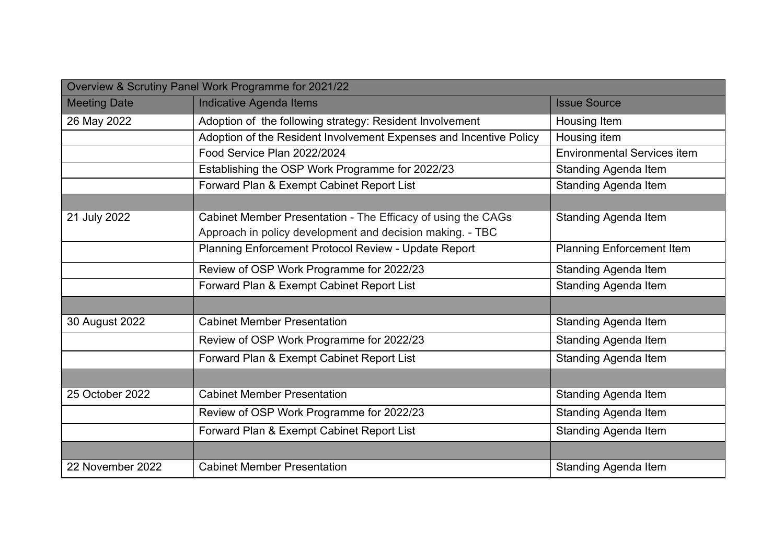|                     | Overview & Scrutiny Panel Work Programme for 2021/22               |                                    |
|---------------------|--------------------------------------------------------------------|------------------------------------|
| <b>Meeting Date</b> | <b>Indicative Agenda Items</b>                                     | <b>Issue Source</b>                |
| 26 May 2022         | Adoption of the following strategy: Resident Involvement           | Housing Item                       |
|                     | Adoption of the Resident Involvement Expenses and Incentive Policy | Housing item                       |
|                     | Food Service Plan 2022/2024                                        | <b>Environmental Services item</b> |
|                     | Establishing the OSP Work Programme for 2022/23                    | <b>Standing Agenda Item</b>        |
|                     | Forward Plan & Exempt Cabinet Report List                          | <b>Standing Agenda Item</b>        |
|                     |                                                                    |                                    |
| 21 July 2022        | Cabinet Member Presentation - The Efficacy of using the CAGs       | Standing Agenda Item               |
|                     | Approach in policy development and decision making. - TBC          |                                    |
|                     | Planning Enforcement Protocol Review - Update Report               | <b>Planning Enforcement Item</b>   |
|                     | Review of OSP Work Programme for 2022/23                           | <b>Standing Agenda Item</b>        |
|                     | Forward Plan & Exempt Cabinet Report List                          | <b>Standing Agenda Item</b>        |
|                     |                                                                    |                                    |
| 30 August 2022      | <b>Cabinet Member Presentation</b>                                 | <b>Standing Agenda Item</b>        |
|                     | Review of OSP Work Programme for 2022/23                           | <b>Standing Agenda Item</b>        |
|                     | Forward Plan & Exempt Cabinet Report List                          | <b>Standing Agenda Item</b>        |
|                     |                                                                    |                                    |
| 25 October 2022     | <b>Cabinet Member Presentation</b>                                 | <b>Standing Agenda Item</b>        |
|                     | Review of OSP Work Programme for 2022/23                           | <b>Standing Agenda Item</b>        |
|                     | Forward Plan & Exempt Cabinet Report List                          | <b>Standing Agenda Item</b>        |
|                     |                                                                    |                                    |
| 22 November 2022    | <b>Cabinet Member Presentation</b>                                 | <b>Standing Agenda Item</b>        |